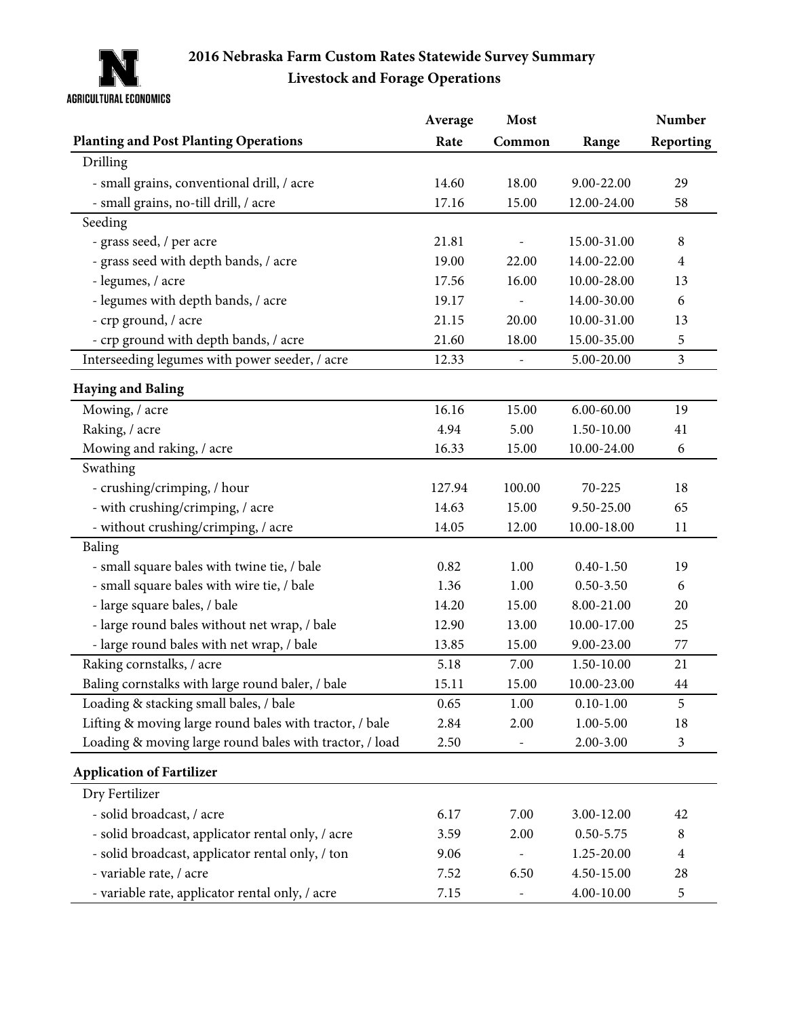

## **2016 Nebraska Farm Custom Rates Statewide Survey Summary Livestock and Forage Operations**

|                                                         | Average | Most   |                | Number         |
|---------------------------------------------------------|---------|--------|----------------|----------------|
| <b>Planting and Post Planting Operations</b>            | Rate    | Common | Range          | Reporting      |
| Drilling                                                |         |        |                |                |
| - small grains, conventional drill, / acre              | 14.60   | 18.00  | 9.00-22.00     | 29             |
| - small grains, no-till drill, / acre                   | 17.16   | 15.00  | 12.00-24.00    | 58             |
| Seeding                                                 |         |        |                |                |
| - grass seed, / per acre                                | 21.81   |        | 15.00-31.00    | $8\phantom{1}$ |
| - grass seed with depth bands, / acre                   | 19.00   | 22.00  | 14.00-22.00    | $\overline{4}$ |
| - legumes, / acre                                       | 17.56   | 16.00  | 10.00-28.00    | 13             |
| - legumes with depth bands, / acre                      | 19.17   |        | 14.00-30.00    | 6              |
| - crp ground, / acre                                    | 21.15   | 20.00  | 10.00-31.00    | 13             |
| - crp ground with depth bands, / acre                   | 21.60   | 18.00  | 15.00-35.00    | 5              |
| Interseeding legumes with power seeder, / acre          | 12.33   |        | 5.00-20.00     | $\mathfrak{Z}$ |
| <b>Haying and Baling</b>                                |         |        |                |                |
| Mowing, / acre                                          | 16.16   | 15.00  | $6.00 - 60.00$ | 19             |
| Raking, / acre                                          | 4.94    | 5.00   | 1.50-10.00     | 41             |
| Mowing and raking, / acre                               | 16.33   | 15.00  | 10.00-24.00    | 6              |
| Swathing                                                |         |        |                |                |
| - crushing/crimping, / hour                             | 127.94  | 100.00 | 70-225         | 18             |
| - with crushing/crimping, / acre                        | 14.63   | 15.00  | 9.50-25.00     | 65             |
| - without crushing/crimping, / acre                     | 14.05   | 12.00  | 10.00-18.00    | 11             |
| Baling                                                  |         |        |                |                |
| - small square bales with twine tie, / bale             | 0.82    | 1.00   | $0.40 - 1.50$  | 19             |
| - small square bales with wire tie, / bale              | 1.36    | 1.00   | $0.50 - 3.50$  | 6              |
| - large square bales, / bale                            | 14.20   | 15.00  | 8.00-21.00     | 20             |
| - large round bales without net wrap, / bale            | 12.90   | 13.00  | 10.00-17.00    | 25             |
| - large round bales with net wrap, / bale               | 13.85   | 15.00  | 9.00-23.00     | 77             |
| Raking cornstalks, / acre                               | 5.18    | 7.00   | 1.50-10.00     | 21             |
| Baling cornstalks with large round baler, / bale        | 15.11   | 15.00  | 10.00-23.00    | 44             |
| Loading & stacking small bales, / bale                  | 0.65    | 1.00   | $0.10 - 1.00$  | 5              |
| Lifting & moving large round bales with tractor, / bale | 2.84    | 2.00   | $1.00 - 5.00$  | 18             |
| Loading & moving large round bales with tractor, / load | 2.50    |        | 2.00-3.00      | $\mathfrak{Z}$ |
| <b>Application of Fartilizer</b>                        |         |        |                |                |
| Dry Fertilizer                                          |         |        |                |                |
| - solid broadcast, / acre                               | 6.17    | 7.00   | 3.00-12.00     | 42             |
| - solid broadcast, applicator rental only, / acre       | 3.59    | 2.00   | $0.50 - 5.75$  | 8              |
| - solid broadcast, applicator rental only, / ton        | 9.06    |        | 1.25-20.00     | 4              |
| - variable rate, / acre                                 | 7.52    | 6.50   | 4.50-15.00     | 28             |
| - variable rate, applicator rental only, / acre         | 7.15    |        | 4.00-10.00     | 5              |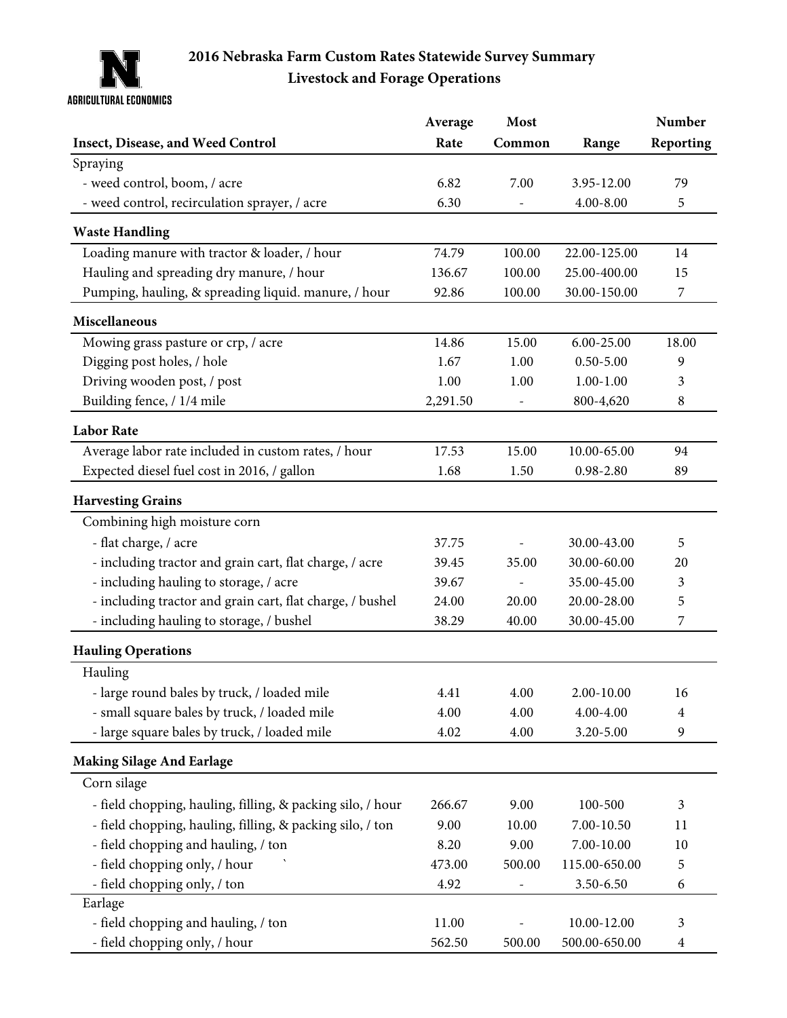

## **Livestock and Forage Operations 2016 Nebraska Farm Custom Rates Statewide Survey Summary**

|                                                            | Average  | Most   |               | Number           |
|------------------------------------------------------------|----------|--------|---------------|------------------|
| Insect, Disease, and Weed Control                          | Rate     | Common | Range         | Reporting        |
| Spraying                                                   |          |        |               |                  |
| - weed control, boom, / acre                               | 6.82     | 7.00   | 3.95-12.00    | 79               |
| - weed control, recirculation sprayer, / acre              | 6.30     |        | $4.00 - 8.00$ | 5                |
| <b>Waste Handling</b>                                      |          |        |               |                  |
| Loading manure with tractor & loader, / hour               | 74.79    | 100.00 | 22.00-125.00  | 14               |
| Hauling and spreading dry manure, / hour                   | 136.67   | 100.00 | 25.00-400.00  | 15               |
| Pumping, hauling, & spreading liquid. manure, / hour       | 92.86    | 100.00 | 30.00-150.00  | $\boldsymbol{7}$ |
| Miscellaneous                                              |          |        |               |                  |
| Mowing grass pasture or crp, / acre                        | 14.86    | 15.00  | 6.00-25.00    | 18.00            |
| Digging post holes, / hole                                 | 1.67     | 1.00   | $0.50 - 5.00$ | 9                |
| Driving wooden post, / post                                | 1.00     | 1.00   | $1.00 - 1.00$ | 3                |
| Building fence, / 1/4 mile                                 | 2,291.50 |        | 800-4,620     | 8                |
| <b>Labor Rate</b>                                          |          |        |               |                  |
| Average labor rate included in custom rates, / hour        | 17.53    | 15.00  | 10.00-65.00   | 94               |
| Expected diesel fuel cost in 2016, / gallon                | 1.68     | 1.50   | $0.98 - 2.80$ | 89               |
| <b>Harvesting Grains</b>                                   |          |        |               |                  |
| Combining high moisture corn                               |          |        |               |                  |
| - flat charge, / acre                                      | 37.75    |        | 30.00-43.00   | 5                |
| - including tractor and grain cart, flat charge, / acre    | 39.45    | 35.00  | 30.00-60.00   | 20               |
| - including hauling to storage, / acre                     | 39.67    |        | 35.00-45.00   | 3                |
| - including tractor and grain cart, flat charge, / bushel  | 24.00    | 20.00  | 20.00-28.00   | 5                |
| - including hauling to storage, / bushel                   | 38.29    | 40.00  | 30.00-45.00   | 7                |
| <b>Hauling Operations</b>                                  |          |        |               |                  |
| Hauling                                                    |          |        |               |                  |
| - large round bales by truck, / loaded mile                | 4.41     | 4.00   | 2.00-10.00    | 16               |
| - small square bales by truck, / loaded mile               | 4.00     | 4.00   | 4.00-4.00     | 4                |
| - large square bales by truck, / loaded mile               | 4.02     | 4.00   | 3.20-5.00     | 9                |
| <b>Making Silage And Earlage</b>                           |          |        |               |                  |
| Corn silage                                                |          |        |               |                  |
| - field chopping, hauling, filling, & packing silo, / hour | 266.67   | 9.00   | 100-500       | 3                |
| - field chopping, hauling, filling, & packing silo, / ton  | 9.00     | 10.00  | 7.00-10.50    | 11               |
| - field chopping and hauling, / ton                        | 8.20     | 9.00   | 7.00-10.00    | 10               |
| - field chopping only, / hour                              | 473.00   | 500.00 | 115.00-650.00 | 5                |
| - field chopping only, / ton                               | 4.92     |        | 3.50-6.50     | 6                |
| Earlage                                                    |          |        |               |                  |
| - field chopping and hauling, / ton                        | 11.00    |        | 10.00-12.00   | 3                |
| - field chopping only, / hour                              | 562.50   | 500.00 | 500.00-650.00 | $\overline{4}$   |